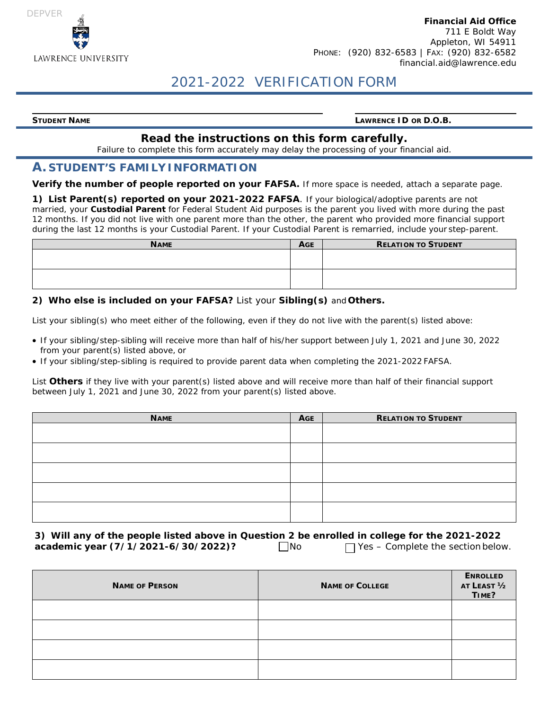

#### **Financial Aid Office** 711 E Boldt Way Appleton, WI 54911 PHONE: (920) 832-6583 | FAX: (920) 832-6582 [financial.aid@lawrence.edu](mailto:financial.aid@lawrence.edu)

# 2021-2022 VERIFICATION FORM

**STUDENT NAME LAWRENCE ID OR D.O.B.**

#### **Read the instructions on this form carefully.**

Failure to complete this form accurately may delay the processing of your financial aid.

#### **A. STUDENT'S FAMILY INFORMATION**

**Verify the number of people reported on your FAFSA.** If more space is needed, attach a separate page.

**1) List Parent(s) reported on your 2021-2022 FAFSA**. If your biological/adoptive parents are not married, your **Custodial Parent** for Federal Student Aid purposes is the parent you lived with more during the past 12 months. If you did not live with one parent more than the other, the parent who provided more financial support during the last 12 months is your Custodial Parent. If your Custodial Parent is remarried, include your step-parent.

| <b>NAME</b> | <b>AGE</b> | <b>RELATION TO STUDENT</b> |
|-------------|------------|----------------------------|
|             |            |                            |
|             |            |                            |
|             |            |                            |
|             |            |                            |

#### **2) Who else is included on your FAFSA?** List your **Sibling(s)** and **Others.**

List your sibling(s) who meet either of the following, even if they do not live with the parent(s) listed above:

- If your sibling/step-sibling will receive more than half of his/her support between July 1, 2021 and June 30, 2022 from your parent(s) listed above, or
- If your sibling/step-sibling is required to provide parent data when completing the 2021-2022 FAFSA.

List **Others** if they live with your parent(s) listed above and will receive more than half of their financial support between July 1, 2021 and June 30, 2022 from your parent(s) listed above.

| <b>NAME</b> | <b>AGE</b> | <b>RELATION TO STUDENT</b> |
|-------------|------------|----------------------------|
|             |            |                            |
|             |            |                            |
|             |            |                            |
|             |            |                            |
|             |            |                            |

**3) Will any of the people listed above in Question 2 be enrolled in college for the 2021-2022 academic year (7/1/2021-6/30/2022)?** No √ Yes – Complete the section below.

| <b>NAME OF PERSON</b> | <b>NAME OF COLLEGE</b> | <b>ENROLLED</b><br>AT LEAST 1/2<br>TIME? |
|-----------------------|------------------------|------------------------------------------|
|                       |                        |                                          |
|                       |                        |                                          |
|                       |                        |                                          |
|                       |                        |                                          |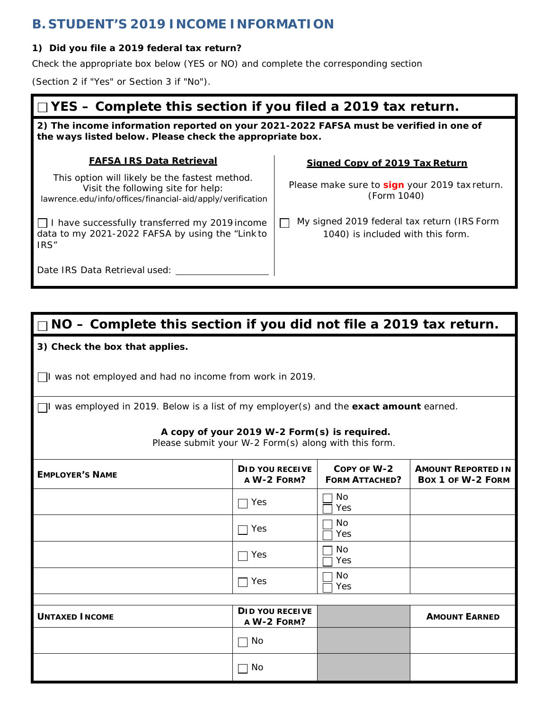## **B. STUDENT'S 2019 INCOME INFORMATION**

### **1) Did you file a 2019 federal tax return?**

Check the appropriate box below (YES or NO) and complete the corresponding section

(Section 2 if "Yes" or Section 3 if "No").

# **YES – Complete this section if you filed a 2019 tax return.**

**2) The income information reported on your 2021-2022 FAFSA must be verified in one of the ways listed below. Please check the appropriate box.**

### **FAFSA IRS Data Retrieval**

This option will likely be the fastest method. Visit the following site for help: lawrence.edu/info/offices/financial-aid/apply/verification

 $\Box$  I have successfully transferred my 2019 income data to my 2021-2022 FAFSA by using the "Link to IRS"

**Signed Copy of 2019 Tax Return**

Please make sure to **sign** your 2019 tax return. (Form 1040)

□ My signed 2019 federal tax return (IRS Form 1040) is included with this form.

Date IRS Data Retrieval used: \_

# **NO – Complete this section if you did not file a 2019 tax return.**

### **3) Check the box that applies.**

 $\Box$ I was not employed and had no income from work in 2019.

I was employed in 2019. Below is a list of my employer(s) and the **exact amount** earned.

#### **A copy of your 2019 W-2 Form(s) is required.**

Please submit your W-2 Form(s) along with this form.

| <b>EMPLOYER'S NAME</b> | DID YOU RECEIVE<br>A W-2 FORM?        | COPY OF W-2<br><b>FORM ATTACHED?</b> | <b>AMOUNT REPORTED IN</b><br>BOX 1 OF W-2 FORM |
|------------------------|---------------------------------------|--------------------------------------|------------------------------------------------|
|                        | Yes<br>$\sim$                         | No<br>Yes                            |                                                |
|                        | Yes                                   | No<br>Yes                            |                                                |
|                        | Yes                                   | No<br>Yes                            |                                                |
|                        | Yes                                   | No<br>Yes                            |                                                |
|                        |                                       |                                      |                                                |
| <b>UNTAXED INCOME</b>  | <b>DID YOU RECEIVE</b><br>A W-2 FORM? |                                      | <b>AMOUNT EARNED</b>                           |
|                        | No                                    |                                      |                                                |
|                        | No                                    |                                      |                                                |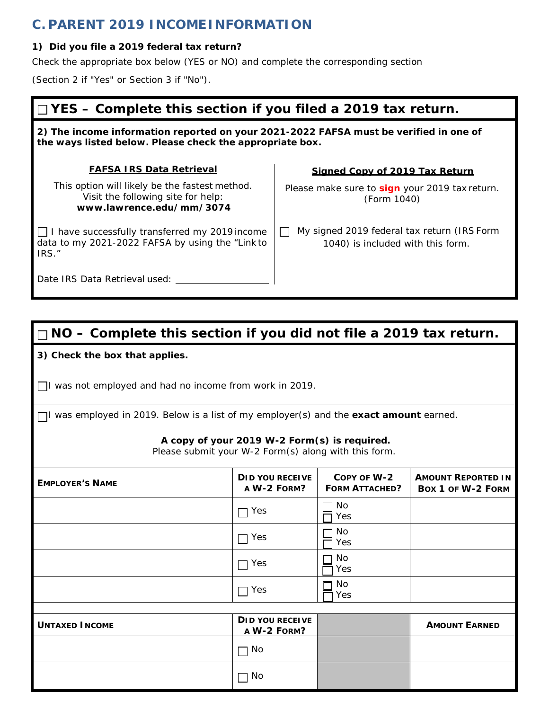## **C. PARENT 2019 INCOMEINFORMATION**

### **1) Did you file a 2019 federal tax return?**

Check the appropriate box below (YES or NO) and complete the corresponding section

(Section 2 if "Yes" or Section 3 if "No").

# **YES – Complete this section if you filed a 2019 tax return.**

**2) The income information reported on your 2021-2022 FAFSA must be verified in one of the ways listed below. Please check the appropriate box.**

### **FAFSA IRS Data Retrieval**

This option will likely be the fastest method. Visit the following site for help: **[www.lawrence.edu/mm/3074](http://www.lawrence.edu/mm/3074)**

 $\Box$  I have successfully transferred my 2019 income data to my 2021-2022 FAFSA by using the "Link to IRS."

### **Signed Copy of 2019 Tax Return**

Please make sure to **sign** your 2019 tax return. (Form 1040)

My signed 2019 federal tax return (IRS Form 1040) is included with this form.

Date IRS Data Retrieval used:

# **NO – Complete this section if you did not file a 2019 tax return.**

### **3) Check the box that applies.**

 $\Box$ I was not employed and had no income from work in 2019.

I was employed in 2019. Below is a list of my employer(s) and the **exact amount** earned.

### **A copy of your 2019 W-2 Form(s) is required.**

Please submit your W-2 Form(s) along with this form.

| <b>EMPLOYER'S NAME</b> | DID YOU RECEIVE<br>A W-2 FORM?        | COPY OF W-2<br><b>FORM ATTACHED?</b> | <b>AMOUNT REPORTED IN</b><br>Box 1 of W-2 FORM |
|------------------------|---------------------------------------|--------------------------------------|------------------------------------------------|
|                        | $\Box$ Yes                            | No<br>Yes                            |                                                |
|                        | Yes<br>$\mathbf{I}=\mathbf{I}$        | No<br>Yes                            |                                                |
|                        | $\Box$ Yes                            | No<br>Yes                            |                                                |
|                        | $\Box$ Yes                            | No<br>Yes                            |                                                |
|                        |                                       |                                      |                                                |
| <b>UNTAXED INCOME</b>  | <b>DID YOU RECEIVE</b><br>A W-2 FORM? |                                      | <b>AMOUNT EARNED</b>                           |
|                        | $\Box$ No                             |                                      |                                                |
|                        | No                                    |                                      |                                                |